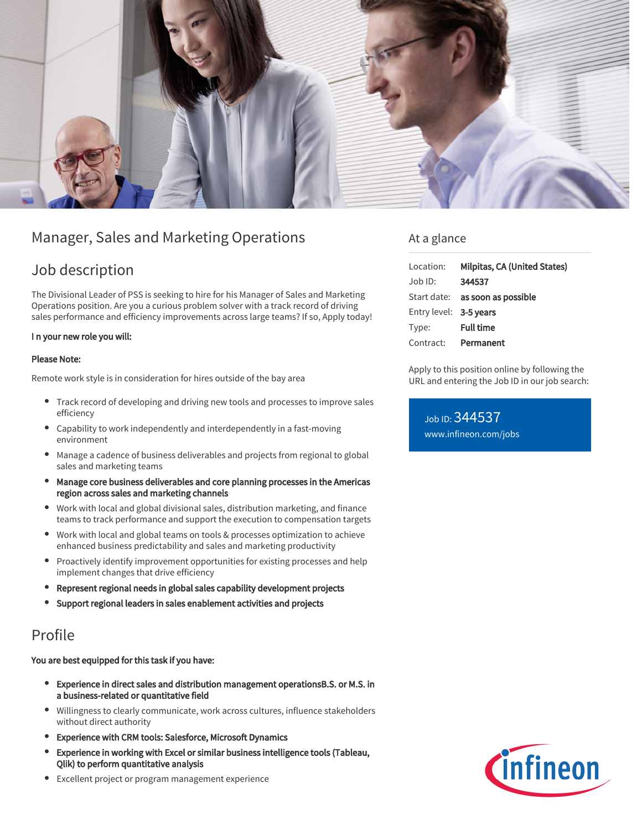

# Manager, Sales and Marketing Operations

## Job description

The Divisional Leader of PSS is seeking to hire for his Manager of Sales and Marketing Operations position. Are you a curious problem solver with a track record of driving sales performance and efficiency improvements across large teams? If so, Apply today!

### I n your new role you will:

#### Please Note:

Remote work style is in consideration for hires outside of the bay area

- Track record of developing and driving new tools and processes to improve sales efficiency
- Capability to work independently and interdependently in a fast-moving environment
- Manage a cadence of business deliverables and projects from regional to global sales and marketing teams
- Manage core business deliverables and core planning processes in the Americas region across sales and marketing channels
- Work with local and global divisional sales, distribution marketing, and finance teams to track performance and support the execution to compensation targets
- Work with local and global teams on tools & processes optimization to achieve enhanced business predictability and sales and marketing productivity
- Proactively identify improvement opportunities for existing processes and help implement changes that drive efficiency
- Represent regional needs in global sales capability development projects
- Support regional leaders in sales enablement activities and projects

## Profile

You are best equipped for this task if you have:

- $\bullet$ Experience in direct sales and distribution management operationsB.S. or M.S. in a business-related or quantitative field
- Willingness to clearly communicate, work across cultures, influence stakeholders  $\bullet$ without direct authority
- Experience with CRM tools: Salesforce, Microsoft Dynamics
- Experience in working with Excel or similar business intelligence tools (Tableau, Qlik) to perform quantitative analysis
- Excellent project or program management experience

## At a glance

| Location:              | Milpitas, CA (United States)           |
|------------------------|----------------------------------------|
| Job ID:                | 344537                                 |
|                        | Start date: <b>as soon as possible</b> |
| Entry level: 3-5 years |                                        |
| Type:                  | <b>Full time</b>                       |
| Contract:              | Permanent                              |

Apply to this position online by following the URL and entering the Job ID in our job search:

Job ID: 344537 [www.infineon.com/jobs](https://www.infineon.com/jobs)

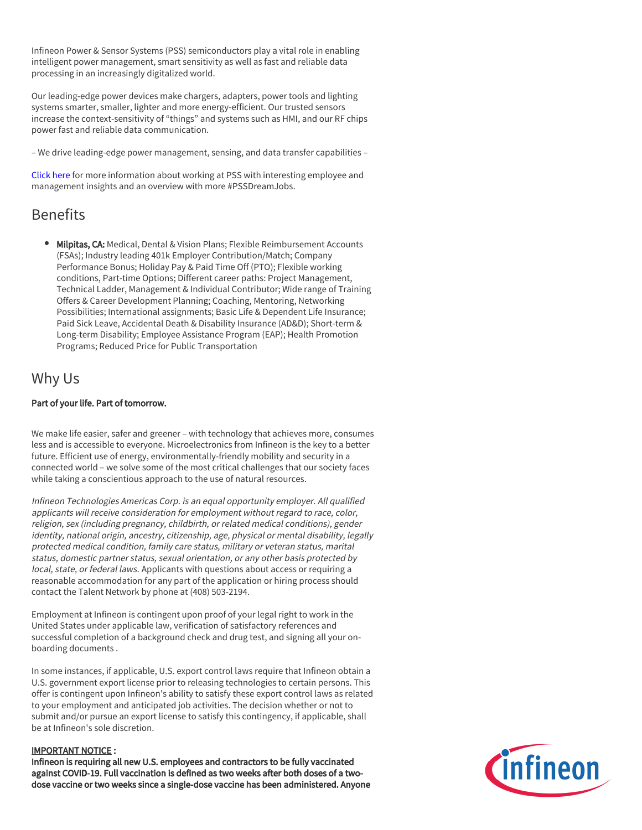Infineon Power & Sensor Systems (PSS) semiconductors play a vital role in enabling intelligent power management, smart sensitivity as well as fast and reliable data processing in an increasingly digitalized world.

Our leading-edge power devices make chargers, adapters, power tools and lighting systems smarter, smaller, lighter and more energy-efficient. Our trusted sensors increase the context-sensitivity of "things" and systems such as HMI, and our RF chips power fast and reliable data communication.

– We drive leading-edge power management, sensing, and data transfer capabilities –

[Click here](https://www.infineon.com/cms/en/careers/working-at-infineon/PSSDreamJob/) for more information about working at PSS with interesting employee and management insights and an overview with more #PSSDreamJobs.

# Benefits

**Milpitas, CA:** Medical, Dental & Vision Plans: Flexible Reimbursement Accounts (FSAs); Industry leading 401k Employer Contribution/Match; Company Performance Bonus; Holiday Pay & Paid Time Off (PTO); Flexible working conditions, Part-time Options; Different career paths: Project Management, Technical Ladder, Management & Individual Contributor; Wide range of Training Offers & Career Development Planning; Coaching, Mentoring, Networking Possibilities; International assignments; Basic Life & Dependent Life Insurance; Paid Sick Leave, Accidental Death & Disability Insurance (AD&D); Short-term & Long-term Disability; Employee Assistance Program (EAP); Health Promotion Programs; Reduced Price for Public Transportation

## Why Us

### Part of your life. Part of tomorrow.

We make life easier, safer and greener – with technology that achieves more, consumes less and is accessible to everyone. Microelectronics from Infineon is the key to a better future. Efficient use of energy, environmentally-friendly mobility and security in a connected world – we solve some of the most critical challenges that our society faces while taking a conscientious approach to the use of natural resources.

Infineon Technologies Americas Corp. is an equal opportunity employer. All qualified applicants will receive consideration for employment without regard to race, color, religion, sex (including pregnancy, childbirth, or related medical conditions), gender identity, national origin, ancestry, citizenship, age, physical or mental disability, legally protected medical condition, family care status, military or veteran status, marital status, domestic partner status, sexual orientation, or any other basis protected by local, state, or federal laws. Applicants with questions about access or requiring a reasonable accommodation for any part of the application or hiring process should contact the Talent Network by phone at (408) 503-2194.

Employment at Infineon is contingent upon proof of your legal right to work in the United States under applicable law, verification of satisfactory references and successful completion of a background check and drug test, and signing all your onboarding documents .

In some instances, if applicable, U.S. export control laws require that Infineon obtain a U.S. government export license prior to releasing technologies to certain persons. This offer is contingent upon Infineon's ability to satisfy these export control laws as related to your employment and anticipated job activities. The decision whether or not to submit and/or pursue an export license to satisfy this contingency, if applicable, shall be at Infineon's sole discretion.

### IMPORTANT NOTICE :

Infineon is requiring all new U.S. employees and contractors to be fully vaccinated against COVID-19. Full vaccination is defined as two weeks after both doses of a twodose vaccine or two weeks since a single-dose vaccine has been administered. Anyone